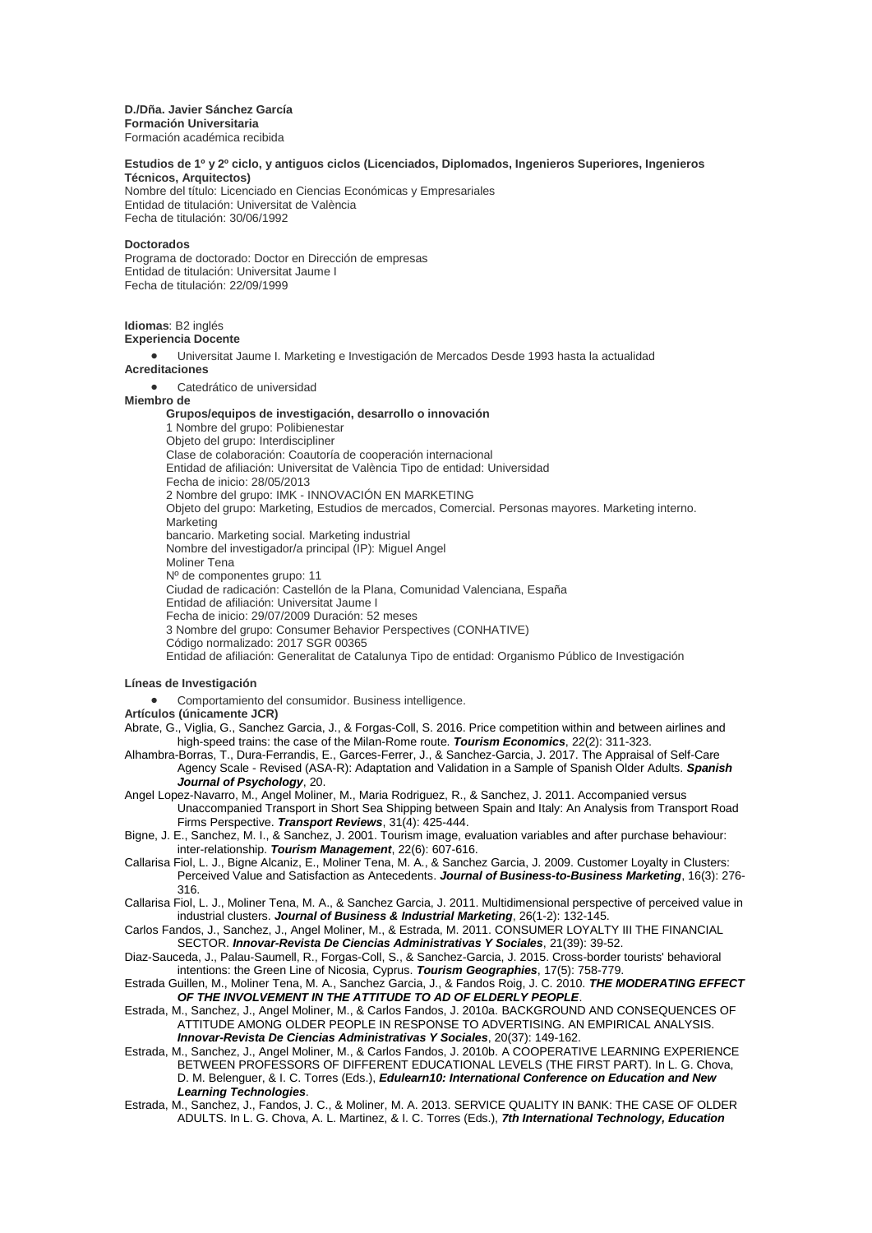## **D./Dña. Javier Sánchez García**

**Formación Universitaria** Formación académica recibida

### **Estudios de 1º y 2º ciclo, y antiguos ciclos (Licenciados, Diplomados, Ingenieros Superiores, Ingenieros Técnicos, Arquitectos)**

Nombre del título: Licenciado en Ciencias Económicas y Empresariales Entidad de titulación: Universitat de València Fecha de titulación: 30/06/1992

### **Doctorados**

Programa de doctorado: Doctor en Dirección de empresas Entidad de titulación: Universitat Jaume I Fecha de titulación: 22/09/1999

**Idiomas**: B2 inglés

# **Experiencia Docente**

 Universitat Jaume I. Marketing e Investigación de Mercados Desde 1993 hasta la actualidad **Acreditaciones**

Catedrático de universidad

#### **Miembro de**

### **Grupos/equipos de investigación, desarrollo o innovación**

1 Nombre del grupo: Polibienestar Objeto del grupo: Interdiscipliner Clase de colaboración: Coautoría de cooperación internacional Entidad de afiliación: Universitat de València Tipo de entidad: Universidad Fecha de inicio: 28/05/2013 2 Nombre del grupo: IMK - INNOVACIÓN EN MARKETING Objeto del grupo: Marketing, Estudios de mercados, Comercial. Personas mayores. Marketing interno. **Marketing** bancario. Marketing social. Marketing industrial Nombre del investigador/a principal (IP): Miguel Angel Moliner Tena Nº de componentes grupo: 11 Ciudad de radicación: Castellón de la Plana, Comunidad Valenciana, España Entidad de afiliación: Universitat Jaume I Fecha de inicio: 29/07/2009 Duración: 52 meses 3 Nombre del grupo: Consumer Behavior Perspectives (CONHATIVE) Código normalizado: 2017 SGR 00365 Entidad de afiliación: Generalitat de Catalunya Tipo de entidad: Organismo Público de Investigación

## **Líneas de Investigación**

Comportamiento del consumidor. Business intelligence.

**Artículos (únicamente JCR)**

Abrate, G., Viglia, G., Sanchez Garcia, J., & Forgas-Coll, S. 2016. Price competition within and between airlines and high-speed trains: the case of the Milan-Rome route. *Tourism Economics*, 22(2): 311-323.

- Alhambra-Borras, T., Dura-Ferrandis, E., Garces-Ferrer, J., & Sanchez-Garcia, J. 2017. The Appraisal of Self-Care Agency Scale - Revised (ASA-R): Adaptation and Validation in a Sample of Spanish Older Adults. *Spanish Journal of Psychology*, 20.
- Angel Lopez-Navarro, M., Angel Moliner, M., Maria Rodriguez, R., & Sanchez, J. 2011. Accompanied versus Unaccompanied Transport in Short Sea Shipping between Spain and Italy: An Analysis from Transport Road Firms Perspective. *Transport Reviews*, 31(4): 425-444.
- Bigne, J. E., Sanchez, M. I., & Sanchez, J. 2001. Tourism image, evaluation variables and after purchase behaviour: inter-relationship. *Tourism Management*, 22(6): 607-616.
- Callarisa Fiol, L. J., Bigne Alcaniz, E., Moliner Tena, M. A., & Sanchez Garcia, J. 2009. Customer Loyalty in Clusters: Perceived Value and Satisfaction as Antecedents. *Journal of Business-to-Business Marketing*, 16(3): 276- 316.
- Callarisa Fiol, L. J., Moliner Tena, M. A., & Sanchez Garcia, J. 2011. Multidimensional perspective of perceived value in industrial clusters. *Journal of Business & Industrial Marketing*, 26(1-2): 132-145.

Carlos Fandos, J., Sanchez, J., Angel Moliner, M., & Estrada, M. 2011. CONSUMER LOYALTY III THE FINANCIAL SECTOR. *Innovar-Revista De Ciencias Administrativas Y Sociales*, 21(39): 39-52.

Diaz-Sauceda, J., Palau-Saumell, R., Forgas-Coll, S., & Sanchez-Garcia, J. 2015. Cross-border tourists' behavioral intentions: the Green Line of Nicosia, Cyprus. *Tourism Geographies*, 17(5): 758-779.

Estrada Guillen, M., Moliner Tena, M. A., Sanchez Garcia, J., & Fandos Roig, J. C. 2010. *THE MODERATING EFFECT OF THE INVOLVEMENT IN THE ATTITUDE TO AD OF ELDERLY PEOPLE*.

- Estrada, M., Sanchez, J., Angel Moliner, M., & Carlos Fandos, J. 2010a. BACKGROUND AND CONSEQUENCES OF ATTITUDE AMONG OLDER PEOPLE IN RESPONSE TO ADVERTISING. AN EMPIRICAL ANALYSIS. *Innovar-Revista De Ciencias Administrativas Y Sociales*, 20(37): 149-162.
- Estrada, M., Sanchez, J., Angel Moliner, M., & Carlos Fandos, J. 2010b. A COOPERATIVE LEARNING EXPERIENCE BETWEEN PROFESSORS OF DIFFERENT EDUCATIONAL LEVELS (THE FIRST PART). In L. G. Chova, D. M. Belenguer, & I. C. Torres (Eds.), *Edulearn10: International Conference on Education and New Learning Technologies*.
- Estrada, M., Sanchez, J., Fandos, J. C., & Moliner, M. A. 2013. SERVICE QUALITY IN BANK: THE CASE OF OLDER ADULTS. In L. G. Chova, A. L. Martinez, & I. C. Torres (Eds.), *7th International Technology, Education*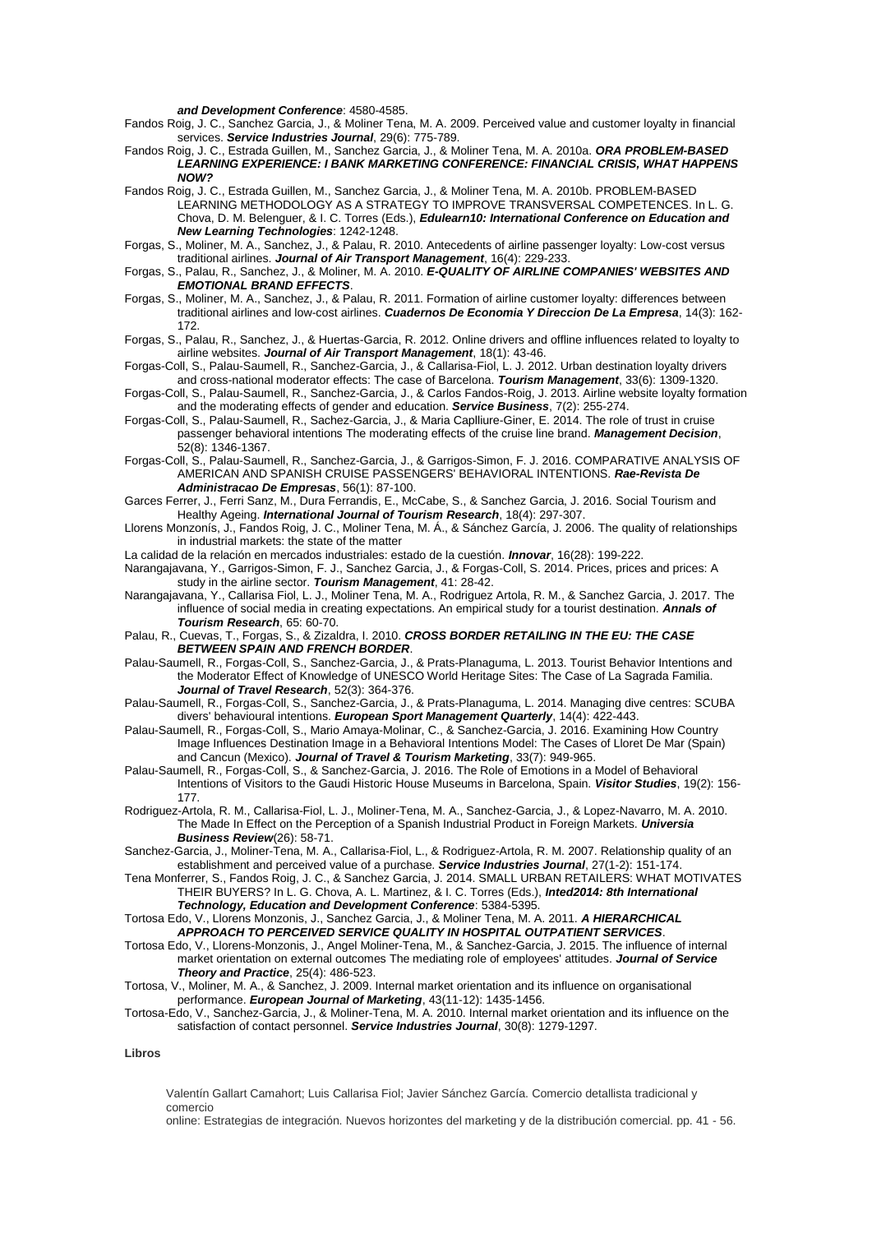*and Development Conference*: 4580-4585.

Fandos Roig, J. C., Sanchez Garcia, J., & Moliner Tena, M. A. 2009. Perceived value and customer loyalty in financial services. *Service Industries Journal*, 29(6): 775-789.

- Fandos Roig, J. C., Estrada Guillen, M., Sanchez Garcia, J., & Moliner Tena, M. A. 2010a. *ORA PROBLEM-BASED LEARNING EXPERIENCE: I BANK MARKETING CONFERENCE: FINANCIAL CRISIS, WHAT HAPPENS NOW?*
- Fandos Roig, J. C., Estrada Guillen, M., Sanchez Garcia, J., & Moliner Tena, M. A. 2010b. PROBLEM-BASED LEARNING METHODOLOGY AS A STRATEGY TO IMPROVE TRANSVERSAL COMPETENCES. In L. G. Chova, D. M. Belenguer, & I. C. Torres (Eds.), *Edulearn10: International Conference on Education and New Learning Technologies*: 1242-1248.
- Forgas, S., Moliner, M. A., Sanchez, J., & Palau, R. 2010. Antecedents of airline passenger loyalty: Low-cost versus traditional airlines. *Journal of Air Transport Management*, 16(4): 229-233.
- Forgas, S., Palau, R., Sanchez, J., & Moliner, M. A. 2010. *E-QUALITY OF AIRLINE COMPANIES' WEBSITES AND EMOTIONAL BRAND EFFECTS*.
- Forgas, S., Moliner, M. A., Sanchez, J., & Palau, R. 2011. Formation of airline customer loyalty: differences between traditional airlines and low-cost airlines. *Cuadernos De Economia Y Direccion De La Empresa*, 14(3): 162- 172.
- Forgas, S., Palau, R., Sanchez, J., & Huertas-Garcia, R. 2012. Online drivers and offline influences related to loyalty to airline websites. *Journal of Air Transport Management*, 18(1): 43-46.
- Forgas-Coll, S., Palau-Saumell, R., Sanchez-Garcia, J., & Callarisa-Fiol, L. J. 2012. Urban destination loyalty drivers and cross-national moderator effects: The case of Barcelona. *Tourism Management*, 33(6): 1309-1320.
- Forgas-Coll, S., Palau-Saumell, R., Sanchez-Garcia, J., & Carlos Fandos-Roig, J. 2013. Airline website loyalty formation and the moderating effects of gender and education. *Service Business*, 7(2): 255-274.
- Forgas-Coll, S., Palau-Saumell, R., Sachez-Garcia, J., & Maria Caplliure-Giner, E. 2014. The role of trust in cruise passenger behavioral intentions The moderating effects of the cruise line brand. *Management Decision*, 52(8): 1346-1367.
- Forgas-Coll, S., Palau-Saumell, R., Sanchez-Garcia, J., & Garrigos-Simon, F. J. 2016. COMPARATIVE ANALYSIS OF AMERICAN AND SPANISH CRUISE PASSENGERS' BEHAVIORAL INTENTIONS. *Rae-Revista De Administracao De Empresas*, 56(1): 87-100.
- Garces Ferrer, J., Ferri Sanz, M., Dura Ferrandis, E., McCabe, S., & Sanchez Garcia, J. 2016. Social Tourism and Healthy Ageing. *International Journal of Tourism Research*, 18(4): 297-307.
- Llorens Monzonís, J., Fandos Roig, J. C., Moliner Tena, M. Á., & Sánchez García, J. 2006. The quality of relationships in industrial markets: the state of the matter
- La calidad de la relación en mercados industriales: estado de la cuestión. *Innovar*, 16(28): 199-222.
- Narangajavana, Y., Garrigos-Simon, F. J., Sanchez Garcia, J., & Forgas-Coll, S. 2014. Prices, prices and prices: A study in the airline sector. *Tourism Management*, 41: 28-42.
- Narangajavana, Y., Callarisa Fiol, L. J., Moliner Tena, M. A., Rodriguez Artola, R. M., & Sanchez Garcia, J. 2017. The influence of social media in creating expectations. An empirical study for a tourist destination. *Annals of Tourism Research*, 65: 60-70.
- Palau, R., Cuevas, T., Forgas, S., & Zizaldra, I. 2010. *CROSS BORDER RETAILING IN THE EU: THE CASE BETWEEN SPAIN AND FRENCH BORDER*.
- Palau-Saumell, R., Forgas-Coll, S., Sanchez-Garcia, J., & Prats-Planaguma, L. 2013. Tourist Behavior Intentions and the Moderator Effect of Knowledge of UNESCO World Heritage Sites: The Case of La Sagrada Familia. *Journal of Travel Research*, 52(3): 364-376.
- Palau-Saumell, R., Forgas-Coll, S., Sanchez-Garcia, J., & Prats-Planaguma, L. 2014. Managing dive centres: SCUBA divers' behavioural intentions. *European Sport Management Quarterly*, 14(4): 422-443.
- Palau-Saumell, R., Forgas-Coll, S., Mario Amaya-Molinar, C., & Sanchez-Garcia, J. 2016. Examining How Country Image Influences Destination Image in a Behavioral Intentions Model: The Cases of Lloret De Mar (Spain) and Cancun (Mexico). *Journal of Travel & Tourism Marketing*, 33(7): 949-965.
- Palau-Saumell, R., Forgas-Coll, S., & Sanchez-Garcia, J. 2016. The Role of Emotions in a Model of Behavioral Intentions of Visitors to the Gaudi Historic House Museums in Barcelona, Spain. *Visitor Studies*, 19(2): 156- 177.
- Rodriguez-Artola, R. M., Callarisa-Fiol, L. J., Moliner-Tena, M. A., Sanchez-Garcia, J., & Lopez-Navarro, M. A. 2010. The Made In Effect on the Perception of a Spanish Industrial Product in Foreign Markets. *Universia Business Review*(26): 58-71.
- Sanchez-Garcia, J., Moliner-Tena, M. A., Callarisa-Fiol, L., & Rodriguez-Artola, R. M. 2007. Relationship quality of an establishment and perceived value of a purchase. *Service Industries Journal*, 27(1-2): 151-174.
- Tena Monferrer, S., Fandos Roig, J. C., & Sanchez Garcia, J. 2014. SMALL URBAN RETAILERS: WHAT MOTIVATES THEIR BUYERS? In L. G. Chova, A. L. Martinez, & I. C. Torres (Eds.), *Inted2014: 8th International Technology, Education and Development Conference*: 5384-5395.
- Tortosa Edo, V., Llorens Monzonis, J., Sanchez Garcia, J., & Moliner Tena, M. A. 2011. *A HIERARCHICAL APPROACH TO PERCEIVED SERVICE QUALITY IN HOSPITAL OUTPATIENT SERVICES*.
- Tortosa Edo, V., Llorens-Monzonis, J., Angel Moliner-Tena, M., & Sanchez-Garcia, J. 2015. The influence of internal market orientation on external outcomes The mediating role of employees' attitudes. *Journal of Service Theory and Practice*, 25(4): 486-523.
- Tortosa, V., Moliner, M. A., & Sanchez, J. 2009. Internal market orientation and its influence on organisational performance. *European Journal of Marketing*, 43(11-12): 1435-1456.
- Tortosa-Edo, V., Sanchez-Garcia, J., & Moliner-Tena, M. A. 2010. Internal market orientation and its influence on the satisfaction of contact personnel. *Service Industries Journal*, 30(8): 1279-1297.

## **Libros**

Valentín Gallart Camahort; Luis Callarisa Fiol; Javier Sánchez García. Comercio detallista tradicional y comercio

online: Estrategias de integración. Nuevos horizontes del marketing y de la distribución comercial. pp. 41 - 56.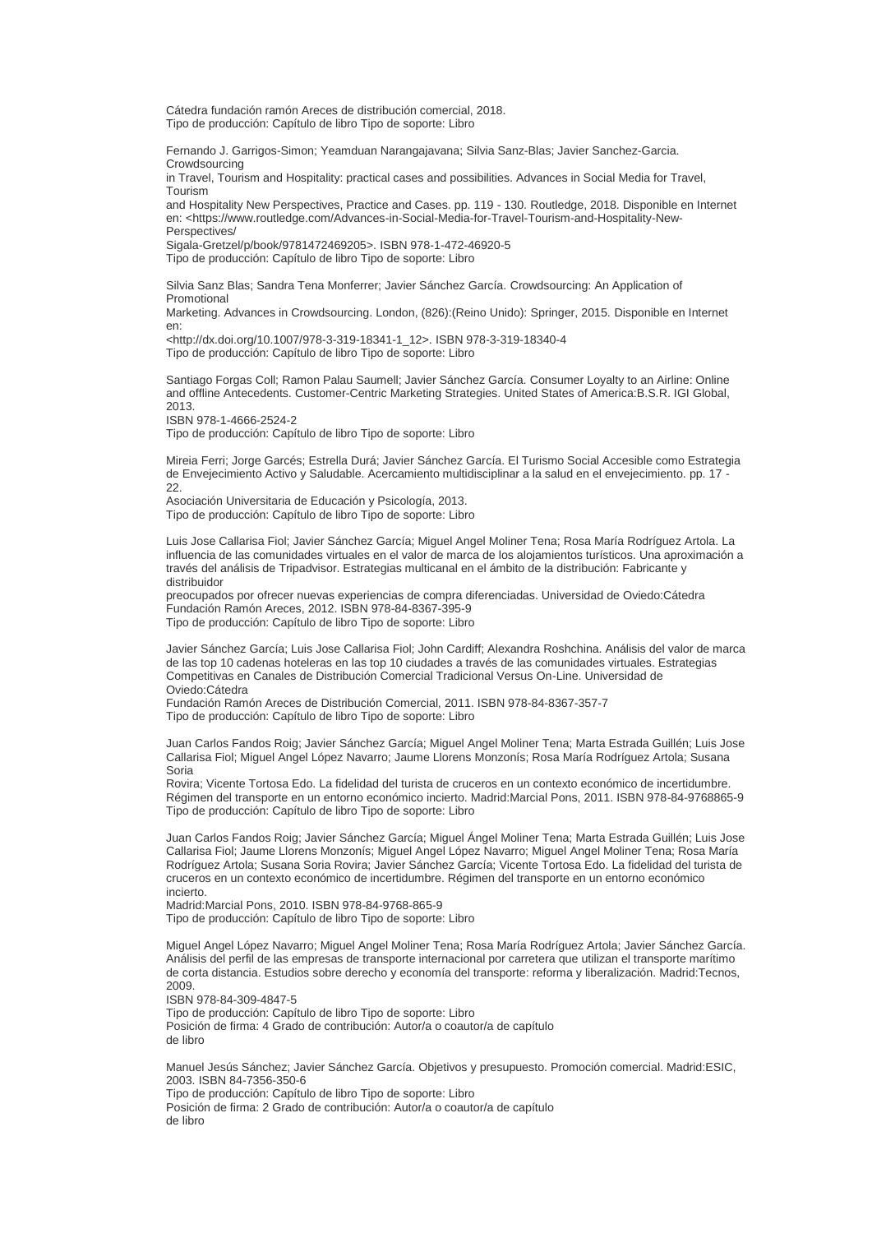Cátedra fundación ramón Areces de distribución comercial, 2018. Tipo de producción: Capítulo de libro Tipo de soporte: Libro

Fernando J. Garrigos-Simon; Yeamduan Narangajavana; Silvia Sanz-Blas; Javier Sanchez-Garcia. Crowdsourcing

in Travel, Tourism and Hospitality: practical cases and possibilities. Advances in Social Media for Travel, Tourism

and Hospitality New Perspectives, Practice and Cases. pp. 119 - 130. Routledge, 2018. Disponible en Internet en: <https://www.routledge.com/Advances-in-Social-Media-for-Travel-Tourism-and-Hospitality-New-**Perspectives** 

Sigala-Gretzel/p/book/9781472469205>. ISBN 978-1-472-46920-5

Tipo de producción: Capítulo de libro Tipo de soporte: Libro

Silvia Sanz Blas; Sandra Tena Monferrer; Javier Sánchez García. Crowdsourcing: An Application of Promotional

Marketing. Advances in Crowdsourcing. London, (826):(Reino Unido): Springer, 2015. Disponible en Internet en:

<http://dx.doi.org/10.1007/978-3-319-18341-1\_12>. ISBN 978-3-319-18340-4 Tipo de producción: Capítulo de libro Tipo de soporte: Libro

Santiago Forgas Coll; Ramon Palau Saumell; Javier Sánchez García. Consumer Loyalty to an Airline: Online and offline Antecedents. Customer-Centric Marketing Strategies. United States of America:B.S.R. IGI Global, 2013.

ISBN 978-1-4666-2524-2

Tipo de producción: Capítulo de libro Tipo de soporte: Libro

Mireia Ferri; Jorge Garcés; Estrella Durá; Javier Sánchez García. El Turismo Social Accesible como Estrategia de Envejecimiento Activo y Saludable. Acercamiento multidisciplinar a la salud en el envejecimiento. pp. 17 - 22.

Asociación Universitaria de Educación y Psicología, 2013. Tipo de producción: Capítulo de libro Tipo de soporte: Libro

Luis Jose Callarisa Fiol; Javier Sánchez García; Miguel Angel Moliner Tena; Rosa María Rodríguez Artola. La influencia de las comunidades virtuales en el valor de marca de los alojamientos turísticos. Una aproximación a través del análisis de Tripadvisor. Estrategias multicanal en el ámbito de la distribución: Fabricante y distribuidor

preocupados por ofrecer nuevas experiencias de compra diferenciadas. Universidad de Oviedo:Cátedra Fundación Ramón Areces, 2012. ISBN 978-84-8367-395-9 Tipo de producción: Capítulo de libro Tipo de soporte: Libro

Javier Sánchez García; Luis Jose Callarisa Fiol; John Cardiff; Alexandra Roshchina. Análisis del valor de marca de las top 10 cadenas hoteleras en las top 10 ciudades a través de las comunidades virtuales. Estrategias Competitivas en Canales de Distribución Comercial Tradicional Versus On-Line. Universidad de Oviedo:Cátedra

Fundación Ramón Areces de Distribución Comercial, 2011. ISBN 978-84-8367-357-7 Tipo de producción: Capítulo de libro Tipo de soporte: Libro

Juan Carlos Fandos Roig; Javier Sánchez García; Miguel Angel Moliner Tena; Marta Estrada Guillén; Luis Jose Callarisa Fiol; Miguel Angel López Navarro; Jaume Llorens Monzonís; Rosa María Rodríguez Artola; Susana Soria

Rovira; Vicente Tortosa Edo. La fidelidad del turista de cruceros en un contexto económico de incertidumbre. Régimen del transporte en un entorno económico incierto. Madrid:Marcial Pons, 2011. ISBN 978-84-9768865-9 Tipo de producción: Capítulo de libro Tipo de soporte: Libro

Juan Carlos Fandos Roig; Javier Sánchez García; Miguel Ángel Moliner Tena; Marta Estrada Guillén; Luis Jose Callarisa Fiol; Jaume Llorens Monzonís; Miguel Angel López Navarro; Miguel Angel Moliner Tena; Rosa María Rodríguez Artola; Susana Soria Rovira; Javier Sánchez García; Vicente Tortosa Edo. La fidelidad del turista de cruceros en un contexto económico de incertidumbre. Régimen del transporte en un entorno económico incierto.

Madrid:Marcial Pons, 2010. ISBN 978-84-9768-865-9

Tipo de producción: Capítulo de libro Tipo de soporte: Libro

Miguel Angel López Navarro; Miguel Angel Moliner Tena; Rosa María Rodríguez Artola; Javier Sánchez García. Análisis del perfil de las empresas de transporte internacional por carretera que utilizan el transporte marítimo de corta distancia. Estudios sobre derecho y economía del transporte: reforma y liberalización. Madrid:Tecnos, 2009.

ISBN 978-84-309-4847-5

Tipo de producción: Capítulo de libro Tipo de soporte: Libro Posición de firma: 4 Grado de contribución: Autor/a o coautor/a de capítulo de libro

Manuel Jesús Sánchez; Javier Sánchez García. Objetivos y presupuesto. Promoción comercial. Madrid:ESIC, 2003. ISBN 84-7356-350-6

Tipo de producción: Capítulo de libro Tipo de soporte: Libro

Posición de firma: 2 Grado de contribución: Autor/a o coautor/a de capítulo de libro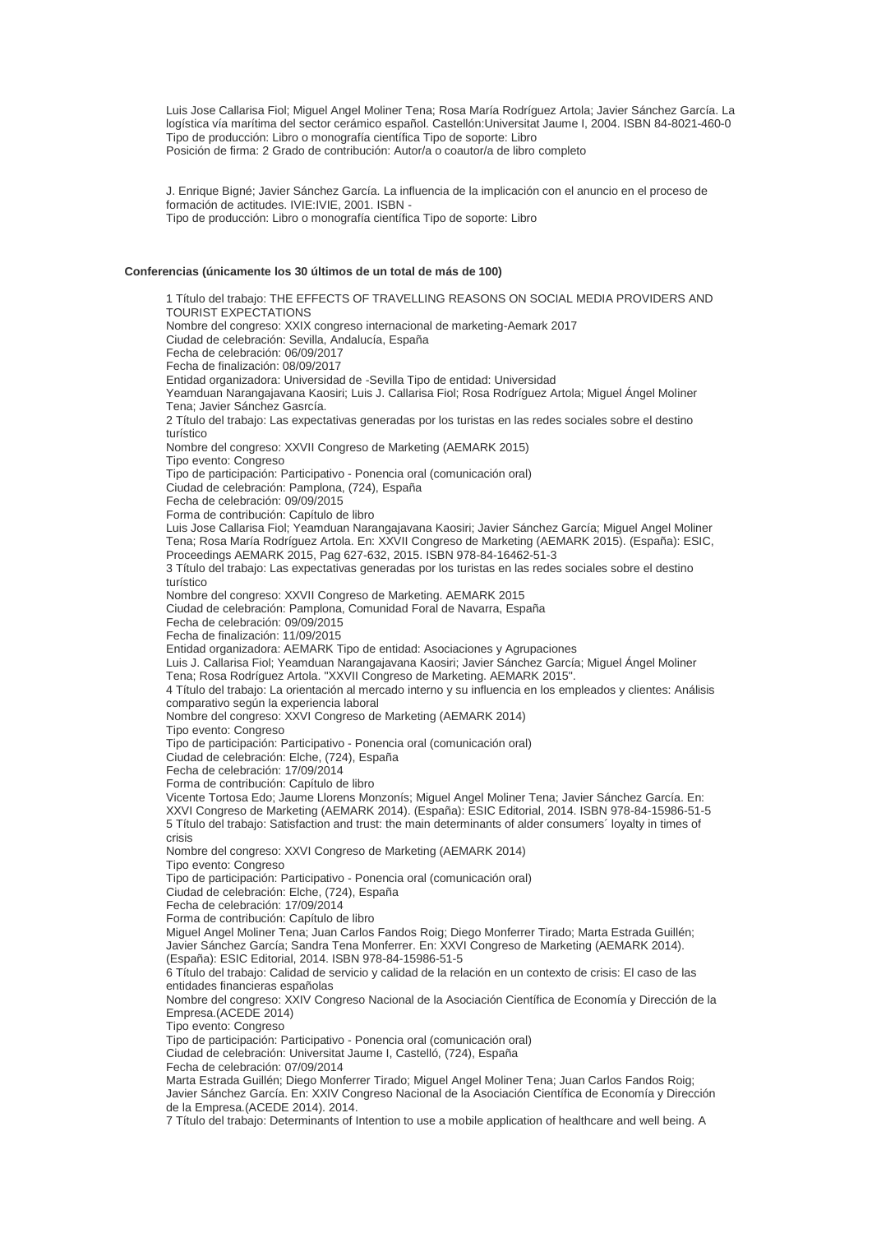Luis Jose Callarisa Fiol; Miguel Angel Moliner Tena; Rosa María Rodríguez Artola; Javier Sánchez García. La logística vía marítima del sector cerámico español. Castellón:Universitat Jaume I, 2004. ISBN 84-8021-460-0 Tipo de producción: Libro o monografía científica Tipo de soporte: Libro Posición de firma: 2 Grado de contribución: Autor/a o coautor/a de libro completo

J. Enrique Bigné; Javier Sánchez García. La influencia de la implicación con el anuncio en el proceso de formación de actitudes. IVIE:IVIE, 2001. ISBN - Tipo de producción: Libro o monografía científica Tipo de soporte: Libro

## **Conferencias (únicamente los 30 últimos de un total de más de 100)**

1 Título del trabajo: THE EFFECTS OF TRAVELLING REASONS ON SOCIAL MEDIA PROVIDERS AND TOURIST EXPECTATIONS Nombre del congreso: XXIX congreso internacional de marketing-Aemark 2017 Ciudad de celebración: Sevilla, Andalucía, España Fecha de celebración: 06/09/2017 Fecha de finalización: 08/09/2017 Entidad organizadora: Universidad de -Sevilla Tipo de entidad: Universidad Yeamduan Narangajavana Kaosiri; Luis J. Callarisa Fiol; Rosa Rodríguez Artola; Miguel Ángel Moliner Tena; Javier Sánchez Gasrcía. 2 Título del trabajo: Las expectativas generadas por los turistas en las redes sociales sobre el destino turístico Nombre del congreso: XXVII Congreso de Marketing (AEMARK 2015) Tipo evento: Congreso Tipo de participación: Participativo - Ponencia oral (comunicación oral) Ciudad de celebración: Pamplona, (724), España Fecha de celebración: 09/09/2015 Forma de contribución: Capítulo de libro Luis Jose Callarisa Fiol; Yeamduan Narangajavana Kaosiri; Javier Sánchez García; Miguel Angel Moliner Tena; Rosa María Rodríguez Artola. En: XXVII Congreso de Marketing (AEMARK 2015). (España): ESIC, Proceedings AEMARK 2015, Pag 627-632, 2015. ISBN 978-84-16462-51-3 3 Título del trabajo: Las expectativas generadas por los turistas en las redes sociales sobre el destino turístico Nombre del congreso: XXVII Congreso de Marketing. AEMARK 2015 Ciudad de celebración: Pamplona, Comunidad Foral de Navarra, España Fecha de celebración: 09/09/2015 Fecha de finalización: 11/09/2015 Entidad organizadora: AEMARK Tipo de entidad: Asociaciones y Agrupaciones Luis J. Callarisa Fiol; Yeamduan Narangajavana Kaosiri; Javier Sánchez García; Miguel Ángel Moliner Tena; Rosa Rodríguez Artola. "XXVII Congreso de Marketing. AEMARK 2015". 4 Título del trabajo: La orientación al mercado interno y su influencia en los empleados y clientes: Análisis comparativo según la experiencia laboral Nombre del congreso: XXVI Congreso de Marketing (AEMARK 2014) Tipo evento: Congreso Tipo de participación: Participativo - Ponencia oral (comunicación oral) Ciudad de celebración: Elche, (724), España Fecha de celebración: 17/09/2014 Forma de contribución: Capítulo de libro Vicente Tortosa Edo; Jaume Llorens Monzonís; Miguel Angel Moliner Tena; Javier Sánchez García. En: XXVI Congreso de Marketing (AEMARK 2014). (España): ESIC Editorial, 2014. ISBN 978-84-15986-51-5 5 Título del trabajo: Satisfaction and trust: the main determinants of alder consumers´ loyalty in times of crisis Nombre del congreso: XXVI Congreso de Marketing (AEMARK 2014) Tipo evento: Congreso Tipo de participación: Participativo - Ponencia oral (comunicación oral) Ciudad de celebración: Elche, (724), España Fecha de celebración: 17/09/2014 Forma de contribución: Capítulo de libro Miguel Angel Moliner Tena; Juan Carlos Fandos Roig; Diego Monferrer Tirado; Marta Estrada Guillén; Javier Sánchez García; Sandra Tena Monferrer. En: XXVI Congreso de Marketing (AEMARK 2014). (España): ESIC Editorial, 2014. ISBN 978-84-15986-51-5 6 Título del trabajo: Calidad de servicio y calidad de la relación en un contexto de crisis: El caso de las entidades financieras españolas Nombre del congreso: XXIV Congreso Nacional de la Asociación Científica de Economía y Dirección de la Empresa.(ACEDE 2014) Tipo evento: Congreso Tipo de participación: Participativo - Ponencia oral (comunicación oral) Ciudad de celebración: Universitat Jaume I, Castelló, (724), España Fecha de celebración: 07/09/2014 Marta Estrada Guillén; Diego Monferrer Tirado; Miguel Angel Moliner Tena; Juan Carlos Fandos Roig; Javier Sánchez García. En: XXIV Congreso Nacional de la Asociación Científica de Economía y Dirección de la Empresa.(ACEDE 2014). 2014.

7 Título del trabajo: Determinants of Intention to use a mobile application of healthcare and well being. A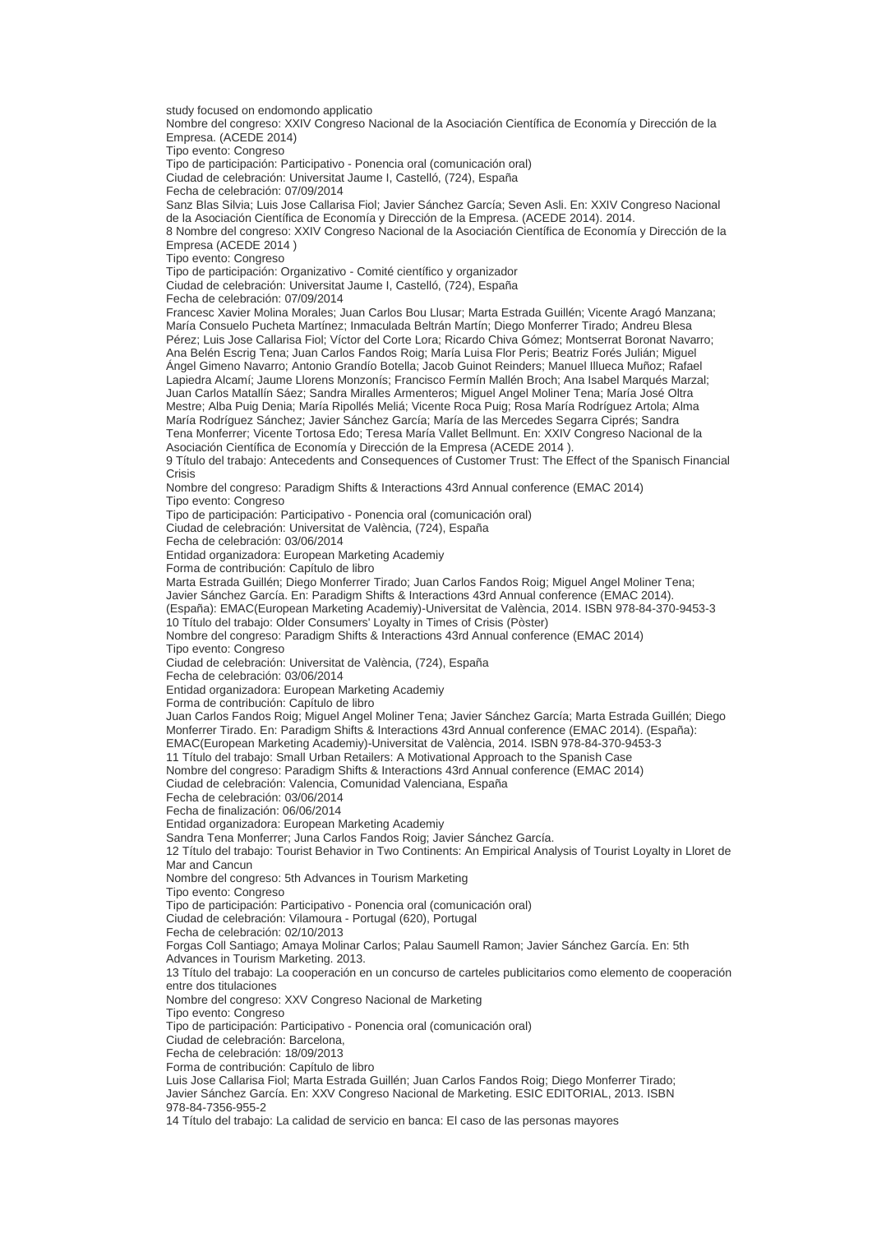study focused on endomondo applicatio

Nombre del congreso: XXIV Congreso Nacional de la Asociación Científica de Economía y Dirección de la Empresa. (ACEDE 2014)

Tipo evento: Congreso

Tipo de participación: Participativo - Ponencia oral (comunicación oral)

Ciudad de celebración: Universitat Jaume I, Castelló, (724), España

Fecha de celebración: 07/09/2014

Sanz Blas Silvia; Luis Jose Callarisa Fiol; Javier Sánchez García; Seven Asli. En: XXIV Congreso Nacional de la Asociación Científica de Economía y Dirección de la Empresa. (ACEDE 2014). 2014.

8 Nombre del congreso: XXIV Congreso Nacional de la Asociación Científica de Economía y Dirección de la Empresa (ACEDE 2014 )

Tipo evento: Congreso

Tipo de participación: Organizativo - Comité científico y organizador

Ciudad de celebración: Universitat Jaume I, Castelló, (724), España

Fecha de celebración: 07/09/2014

Francesc Xavier Molina Morales; Juan Carlos Bou Llusar; Marta Estrada Guillén; Vicente Aragó Manzana; María Consuelo Pucheta Martínez; Inmaculada Beltrán Martín; Diego Monferrer Tirado; Andreu Blesa Pérez; Luis Jose Callarisa Fiol; Víctor del Corte Lora; Ricardo Chiva Gómez; Montserrat Boronat Navarro; Ana Belén Escrig Tena; Juan Carlos Fandos Roig; María Luisa Flor Peris; Beatriz Forés Julián; Miguel Ángel Gimeno Navarro; Antonio Grandío Botella; Jacob Guinot Reinders; Manuel Illueca Muñoz; Rafael Lapiedra Alcamí; Jaume Llorens Monzonís; Francisco Fermín Mallén Broch; Ana Isabel Marqués Marzal; Juan Carlos Matallín Sáez; Sandra Miralles Armenteros; Miguel Angel Moliner Tena; María José Oltra Mestre; Alba Puig Denia; María Ripollés Meliá; Vicente Roca Puig; Rosa María Rodríguez Artola; Alma María Rodríguez Sánchez; Javier Sánchez García; María de las Mercedes Segarra Ciprés; Sandra Tena Monferrer; Vicente Tortosa Edo; Teresa María Vallet Bellmunt. En: XXIV Congreso Nacional de la Asociación Científica de Economía y Dirección de la Empresa (ACEDE 2014 ).

9 Título del trabajo: Antecedents and Consequences of Customer Trust: The Effect of the Spanisch Financial Crisis

Nombre del congreso: Paradigm Shifts & Interactions 43rd Annual conference (EMAC 2014)

Tipo evento: Congreso

Tipo de participación: Participativo - Ponencia oral (comunicación oral)

Ciudad de celebración: Universitat de València, (724), España

Fecha de celebración: 03/06/2014

Entidad organizadora: European Marketing Academiy

Forma de contribución: Capítulo de libro

Marta Estrada Guillén; Diego Monferrer Tirado; Juan Carlos Fandos Roig; Miguel Angel Moliner Tena;

Javier Sánchez García. En: Paradigm Shifts & Interactions 43rd Annual conference (EMAC 2014).

(España): EMAC(European Marketing Academiy)-Universitat de València, 2014. ISBN 978-84-370-9453-3 10 Título del trabajo: Older Consumers' Loyalty in Times of Crisis (Pòster)

Nombre del congreso: Paradigm Shifts & Interactions 43rd Annual conference (EMAC 2014)

Tipo evento: Congreso

Ciudad de celebración: Universitat de València, (724), España

Fecha de celebración: 03/06/2014

Entidad organizadora: European Marketing Academiy

Forma de contribución: Capítulo de libro

Juan Carlos Fandos Roig; Miguel Angel Moliner Tena; Javier Sánchez García; Marta Estrada Guillén; Diego Monferrer Tirado. En: Paradigm Shifts & Interactions 43rd Annual conference (EMAC 2014). (España): EMAC(European Marketing Academiy)-Universitat de València, 2014. ISBN 978-84-370-9453-3

11 Título del trabajo: Small Urban Retailers: A Motivational Approach to the Spanish Case

Nombre del congreso: Paradigm Shifts & Interactions 43rd Annual conference (EMAC 2014)

Ciudad de celebración: Valencia, Comunidad Valenciana, España

Fecha de celebración: 03/06/2014

Fecha de finalización: 06/06/2014

Entidad organizadora: European Marketing Academiy

Sandra Tena Monferrer; Juna Carlos Fandos Roig; Javier Sánchez García.

12 Título del trabajo: Tourist Behavior in Two Continents: An Empirical Analysis of Tourist Loyalty in Lloret de Mar and Cancun

Nombre del congreso: 5th Advances in Tourism Marketing

Tipo evento: Congreso

Tipo de participación: Participativo - Ponencia oral (comunicación oral)

Ciudad de celebración: Vilamoura - Portugal (620), Portugal

Fecha de celebración: 02/10/2013

Forgas Coll Santiago; Amaya Molinar Carlos; Palau Saumell Ramon; Javier Sánchez García. En: 5th

Advances in Tourism Marketing. 2013.

13 Título del trabajo: La cooperación en un concurso de carteles publicitarios como elemento de cooperación entre dos titulaciones

Nombre del congreso: XXV Congreso Nacional de Marketing

Tipo evento: Congreso

Tipo de participación: Participativo - Ponencia oral (comunicación oral)

Ciudad de celebración: Barcelona,

Fecha de celebración: 18/09/2013

Forma de contribución: Capítulo de libro

Luis Jose Callarisa Fiol; Marta Estrada Guillén; Juan Carlos Fandos Roig; Diego Monferrer Tirado; Javier Sánchez García. En: XXV Congreso Nacional de Marketing. ESIC EDITORIAL, 2013. ISBN 978-84-7356-955-2

14 Título del trabajo: La calidad de servicio en banca: El caso de las personas mayores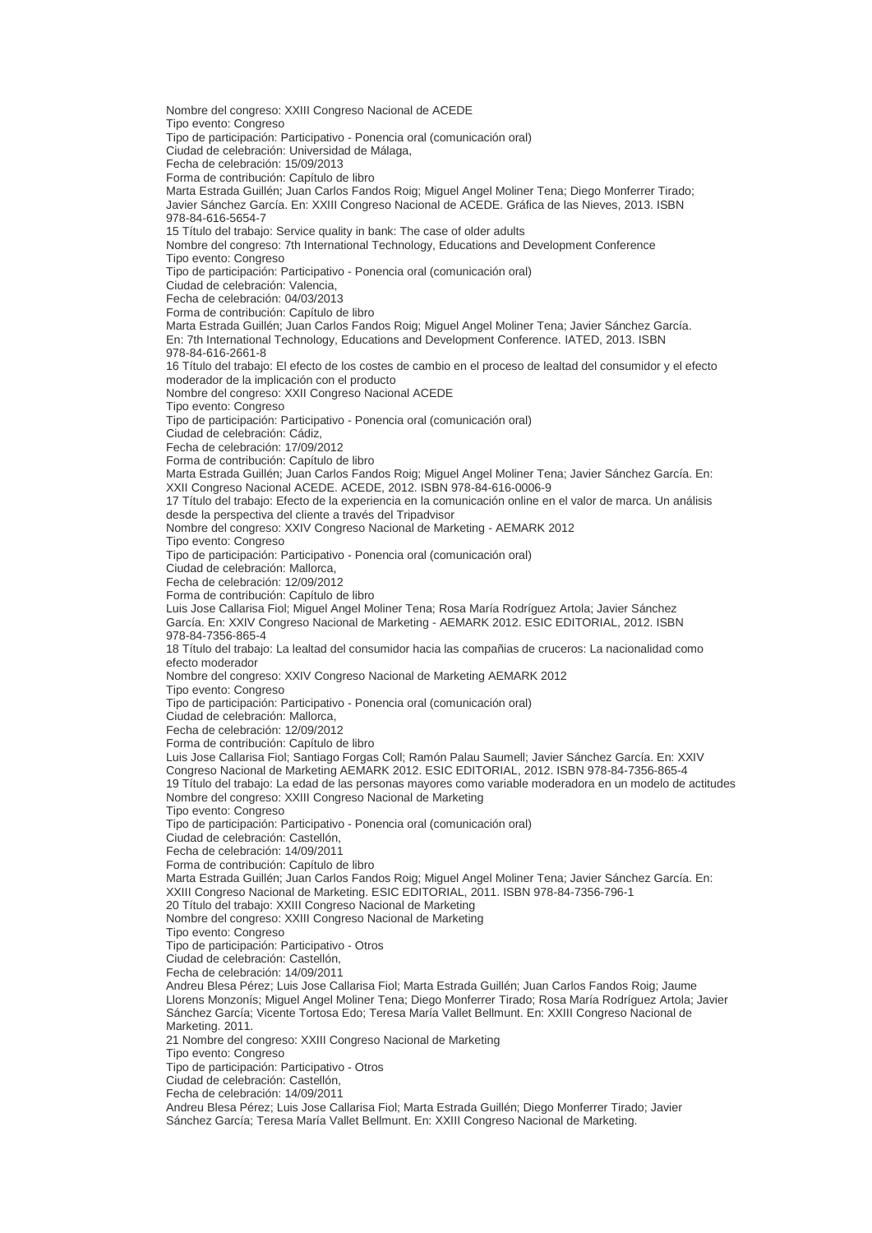Nombre del congreso: XXIII Congreso Nacional de ACEDE Tipo evento: Congreso Tipo de participación: Participativo - Ponencia oral (comunicación oral) Ciudad de celebración: Universidad de Málaga, Fecha de celebración: 15/09/2013 Forma de contribución: Capítulo de libro Marta Estrada Guillén; Juan Carlos Fandos Roig; Miguel Angel Moliner Tena; Diego Monferrer Tirado; Javier Sánchez García. En: XXIII Congreso Nacional de ACEDE. Gráfica de las Nieves, 2013. ISBN 978-84-616-5654-7 15 Título del trabajo: Service quality in bank: The case of older adults Nombre del congreso: 7th International Technology, Educations and Development Conference Tipo evento: Congreso Tipo de participación: Participativo - Ponencia oral (comunicación oral) Ciudad de celebración: Valencia, Fecha de celebración: 04/03/2013 Forma de contribución: Capítulo de libro Marta Estrada Guillén; Juan Carlos Fandos Roig; Miguel Angel Moliner Tena; Javier Sánchez García. En: 7th International Technology, Educations and Development Conference. IATED, 2013. ISBN 978-84-616-2661-8 16 Título del trabajo: El efecto de los costes de cambio en el proceso de lealtad del consumidor y el efecto moderador de la implicación con el producto Nombre del congreso: XXII Congreso Nacional ACEDE Tipo evento: Congreso Tipo de participación: Participativo - Ponencia oral (comunicación oral) Ciudad de celebración: Cádiz, Fecha de celebración: 17/09/2012 Forma de contribución: Capítulo de libro Marta Estrada Guillén; Juan Carlos Fandos Roig; Miguel Angel Moliner Tena; Javier Sánchez García. En: XXII Congreso Nacional ACEDE. ACEDE, 2012. ISBN 978-84-616-0006-9 17 Título del trabajo: Efecto de la experiencia en la comunicación online en el valor de marca. Un análisis desde la perspectiva del cliente a través del Tripadvisor Nombre del congreso: XXIV Congreso Nacional de Marketing - AEMARK 2012 Tipo evento: Congreso Tipo de participación: Participativo - Ponencia oral (comunicación oral) Ciudad de celebración: Mallorca, Fecha de celebración: 12/09/2012 Forma de contribución: Capítulo de libro Luis Jose Callarisa Fiol; Miguel Angel Moliner Tena; Rosa María Rodríguez Artola; Javier Sánchez García. En: XXIV Congreso Nacional de Marketing - AEMARK 2012. ESIC EDITORIAL, 2012. ISBN 978-84-7356-865-4 18 Título del trabajo: La lealtad del consumidor hacia las compañias de cruceros: La nacionalidad como efecto moderador Nombre del congreso: XXIV Congreso Nacional de Marketing AEMARK 2012 Tipo evento: Congreso Tipo de participación: Participativo - Ponencia oral (comunicación oral) Ciudad de celebración: Mallorca, Fecha de celebración: 12/09/2012 Forma de contribución: Capítulo de libro Luis Jose Callarisa Fiol; Santiago Forgas Coll; Ramón Palau Saumell; Javier Sánchez García. En: XXIV Congreso Nacional de Marketing AEMARK 2012. ESIC EDITORIAL, 2012. ISBN 978-84-7356-865-4 19 Título del trabajo: La edad de las personas mayores como variable moderadora en un modelo de actitudes Nombre del congreso: XXIII Congreso Nacional de Marketing Tipo evento: Congreso Tipo de participación: Participativo - Ponencia oral (comunicación oral) Ciudad de celebración: Castellón, Fecha de celebración: 14/09/2011 Forma de contribución: Capítulo de libro Marta Estrada Guillén; Juan Carlos Fandos Roig; Miguel Angel Moliner Tena; Javier Sánchez García. En: XXIII Congreso Nacional de Marketing. ESIC EDITORIAL, 2011. ISBN 978-84-7356-796-1 20 Título del trabajo: XXIII Congreso Nacional de Marketing Nombre del congreso: XXIII Congreso Nacional de Marketing Tipo evento: Congreso Tipo de participación: Participativo - Otros Ciudad de celebración: Castellón, Fecha de celebración: 14/09/2011 Andreu Blesa Pérez; Luis Jose Callarisa Fiol; Marta Estrada Guillén; Juan Carlos Fandos Roig; Jaume Llorens Monzonís; Miguel Angel Moliner Tena; Diego Monferrer Tirado; Rosa María Rodríguez Artola; Javier Sánchez García; Vicente Tortosa Edo; Teresa María Vallet Bellmunt. En: XXIII Congreso Nacional de Marketing. 2011. 21 Nombre del congreso: XXIII Congreso Nacional de Marketing Tipo evento: Congreso Tipo de participación: Participativo - Otros Ciudad de celebración: Castellón, Fecha de celebración: 14/09/2011 Andreu Blesa Pérez; Luis Jose Callarisa Fiol; Marta Estrada Guillén; Diego Monferrer Tirado; Javier Sánchez García; Teresa María Vallet Bellmunt. En: XXIII Congreso Nacional de Marketing.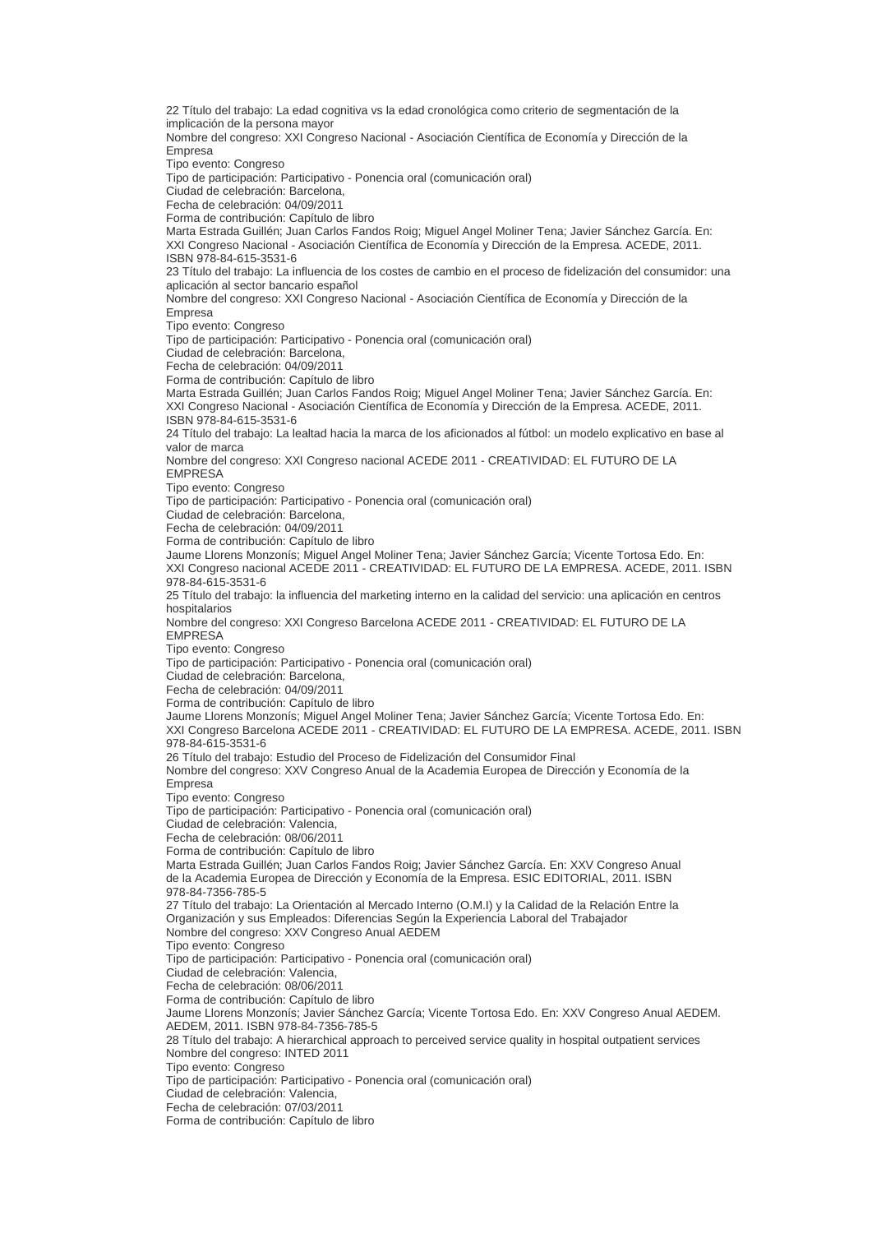22 Título del trabajo: La edad cognitiva vs la edad cronológica como criterio de segmentación de la implicación de la persona mayor Nombre del congreso: XXI Congreso Nacional - Asociación Científica de Economía y Dirección de la Empresa Tipo evento: Congreso Tipo de participación: Participativo - Ponencia oral (comunicación oral) Ciudad de celebración: Barcelona, Fecha de celebración: 04/09/2011 Forma de contribución: Capítulo de libro Marta Estrada Guillén; Juan Carlos Fandos Roig; Miguel Angel Moliner Tena; Javier Sánchez García. En: XXI Congreso Nacional - Asociación Científica de Economía y Dirección de la Empresa. ACEDE, 2011. ISBN 978-84-615-3531-6 23 Título del trabajo: La influencia de los costes de cambio en el proceso de fidelización del consumidor: una aplicación al sector bancario español Nombre del congreso: XXI Congreso Nacional - Asociación Científica de Economía y Dirección de la Empresa Tipo evento: Congreso Tipo de participación: Participativo - Ponencia oral (comunicación oral) Ciudad de celebración: Barcelona, Fecha de celebración: 04/09/2011 Forma de contribución: Capítulo de libro Marta Estrada Guillén; Juan Carlos Fandos Roig; Miguel Angel Moliner Tena; Javier Sánchez García. En: XXI Congreso Nacional - Asociación Científica de Economía y Dirección de la Empresa. ACEDE, 2011. ISBN 978-84-615-3531-6 24 Título del trabajo: La lealtad hacia la marca de los aficionados al fútbol: un modelo explicativo en base al valor de marca Nombre del congreso: XXI Congreso nacional ACEDE 2011 - CREATIVIDAD: EL FUTURO DE LA EMPRESA Tipo evento: Congreso Tipo de participación: Participativo - Ponencia oral (comunicación oral) Ciudad de celebración: Barcelona, Fecha de celebración: 04/09/2011 Forma de contribución: Capítulo de libro Jaume Llorens Monzonís; Miguel Angel Moliner Tena; Javier Sánchez García; Vicente Tortosa Edo. En: XXI Congreso nacional ACEDE 2011 - CREATIVIDAD: EL FUTURO DE LA EMPRESA. ACEDE, 2011. ISBN 978-84-615-3531-6 25 Título del trabajo: la influencia del marketing interno en la calidad del servicio: una aplicación en centros hospitalarios Nombre del congreso: XXI Congreso Barcelona ACEDE 2011 - CREATIVIDAD: EL FUTURO DE LA EMPRESA Tipo evento: Congreso Tipo de participación: Participativo - Ponencia oral (comunicación oral) Ciudad de celebración: Barcelona, Fecha de celebración: 04/09/2011 Forma de contribución: Capítulo de libro Jaume Llorens Monzonís; Miguel Angel Moliner Tena; Javier Sánchez García; Vicente Tortosa Edo. En: XXI Congreso Barcelona ACEDE 2011 - CREATIVIDAD: EL FUTURO DE LA EMPRESA. ACEDE, 2011. ISBN 978-84-615-3531-6 26 Título del trabajo: Estudio del Proceso de Fidelización del Consumidor Final Nombre del congreso: XXV Congreso Anual de la Academia Europea de Dirección y Economía de la Empresa Tipo evento: Congreso Tipo de participación: Participativo - Ponencia oral (comunicación oral) Ciudad de celebración: Valencia, Fecha de celebración: 08/06/2011 Forma de contribución: Capítulo de libro Marta Estrada Guillén; Juan Carlos Fandos Roig; Javier Sánchez García. En: XXV Congreso Anual de la Academia Europea de Dirección y Economía de la Empresa. ESIC EDITORIAL, 2011. ISBN 978-84-7356-785-5 27 Título del trabajo: La Orientación al Mercado Interno (O.M.I) y la Calidad de la Relación Entre la Organización y sus Empleados: Diferencias Según la Experiencia Laboral del Trabajador Nombre del congreso: XXV Congreso Anual AEDEM Tipo evento: Congreso Tipo de participación: Participativo - Ponencia oral (comunicación oral) Ciudad de celebración: Valencia, Fecha de celebración: 08/06/2011 Forma de contribución: Capítulo de libro Jaume Llorens Monzonís; Javier Sánchez García; Vicente Tortosa Edo. En: XXV Congreso Anual AEDEM. AEDEM, 2011. ISBN 978-84-7356-785-5 28 Título del trabajo: A hierarchical approach to perceived service quality in hospital outpatient services Nombre del congreso: INTED 2011 Tipo evento: Congreso Tipo de participación: Participativo - Ponencia oral (comunicación oral) Ciudad de celebración: Valencia, Fecha de celebración: 07/03/2011 Forma de contribución: Capítulo de libro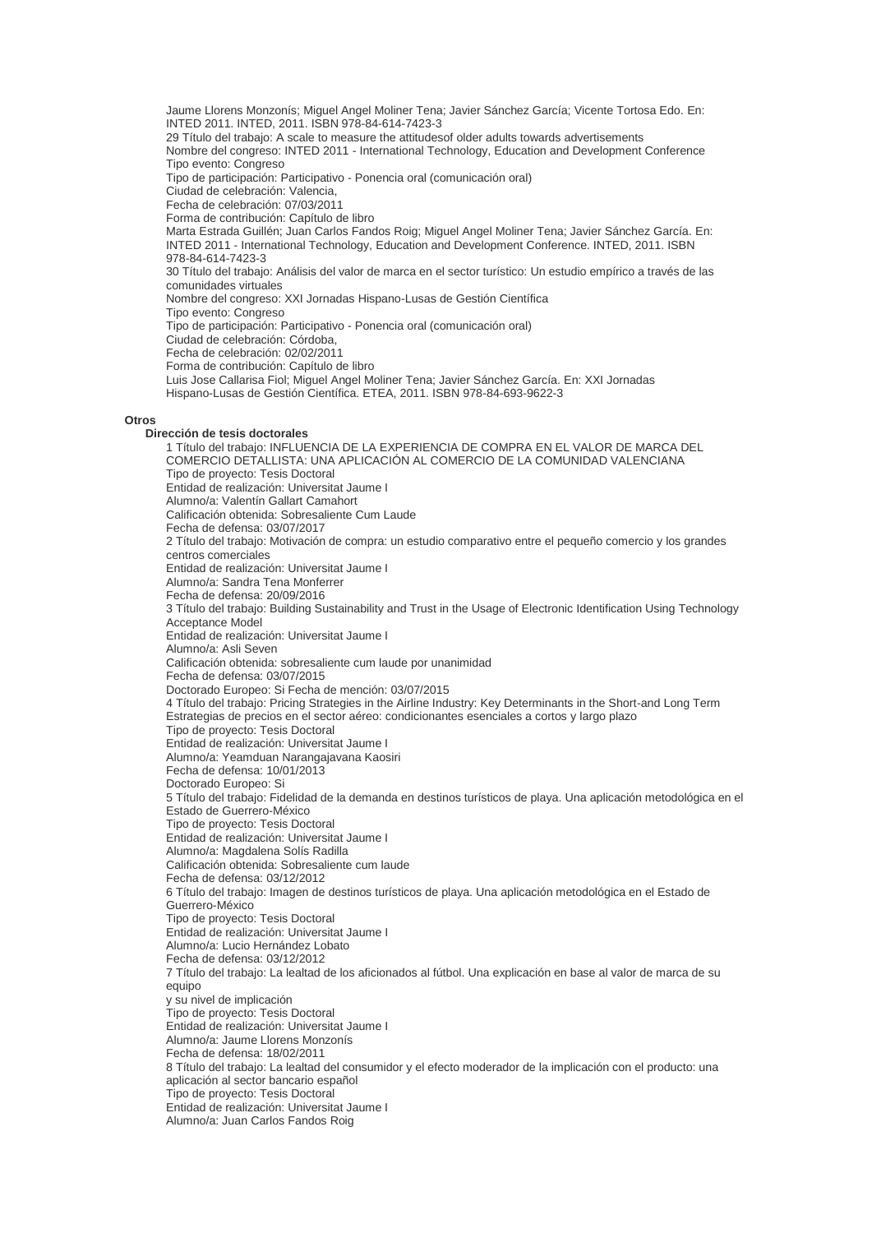Jaume Llorens Monzonís; Miguel Angel Moliner Tena; Javier Sánchez García; Vicente Tortosa Edo. En: INTED 2011. INTED, 2011. ISBN 978-84-614-7423-3 29 Título del trabajo: A scale to measure the attitudesof older adults towards advertisements Nombre del congreso: INTED 2011 - International Technology, Education and Development Conference Tipo evento: Congreso Tipo de participación: Participativo - Ponencia oral (comunicación oral) Ciudad de celebración: Valencia, Fecha de celebración: 07/03/2011 Forma de contribución: Capítulo de libro Marta Estrada Guillén; Juan Carlos Fandos Roig; Miguel Angel Moliner Tena; Javier Sánchez García. En: INTED 2011 - International Technology, Education and Development Conference. INTED, 2011. ISBN 978-84-614-7423-3 30 Título del trabajo: Análisis del valor de marca en el sector turístico: Un estudio empírico a través de las comunidades virtuales Nombre del congreso: XXI Jornadas Hispano-Lusas de Gestión Científica Tipo evento: Congreso Tipo de participación: Participativo - Ponencia oral (comunicación oral) Ciudad de celebración: Córdoba, Fecha de celebración: 02/02/2011 Forma de contribución: Capítulo de libro Luis Jose Callarisa Fiol; Miguel Angel Moliner Tena; Javier Sánchez García. En: XXI Jornadas Hispano-Lusas de Gestión Científica. ETEA, 2011. ISBN 978-84-693-9622-3 **Dirección de tesis doctorales** 1 Título del trabajo: INFLUENCIA DE LA EXPERIENCIA DE COMPRA EN EL VALOR DE MARCA DEL COMERCIO DETALLISTA: UNA APLICACIÓN AL COMERCIO DE LA COMUNIDAD VALENCIANA Tipo de proyecto: Tesis Doctoral Entidad de realización: Universitat Jaume I Alumno/a: Valentín Gallart Camahort Calificación obtenida: Sobresaliente Cum Laude Fecha de defensa: 03/07/2017 2 Título del trabajo: Motivación de compra: un estudio comparativo entre el pequeño comercio y los grandes centros comerciales Entidad de realización: Universitat Jaume I Alumno/a: Sandra Tena Monferrer Fecha de defensa: 20/09/2016 3 Título del trabajo: Building Sustainability and Trust in the Usage of Electronic Identification Using Technology Acceptance Model Entidad de realización: Universitat Jaume I Alumno/a: Asli Seven Calificación obtenida: sobresaliente cum laude por unanimidad Fecha de defensa: 03/07/2015 Doctorado Europeo: Si Fecha de mención: 03/07/2015 4 Título del trabajo: Pricing Strategies in the Airline Industry: Key Determinants in the Short-and Long Term Estrategias de precios en el sector aéreo: condicionantes esenciales a cortos y largo plazo Tipo de proyecto: Tesis Doctoral Entidad de realización: Universitat Jaume I Alumno/a: Yeamduan Narangajavana Kaosiri Fecha de defensa: 10/01/2013 Doctorado Europeo: Si 5 Título del trabajo: Fidelidad de la demanda en destinos turísticos de playa. Una aplicación metodológica en el Estado de Guerrero-México Tipo de proyecto: Tesis Doctoral Entidad de realización: Universitat Jaume I Alumno/a: Magdalena Solís Radilla Calificación obtenida: Sobresaliente cum laude Fecha de defensa: 03/12/2012 6 Título del trabajo: Imagen de destinos turísticos de playa. Una aplicación metodológica en el Estado de Guerrero-México Tipo de proyecto: Tesis Doctoral Entidad de realización: Universitat Jaume I Alumno/a: Lucio Hernández Lobato Fecha de defensa: 03/12/2012 7 Título del trabajo: La lealtad de los aficionados al fútbol. Una explicación en base al valor de marca de su equipo y su nivel de implicación Tipo de proyecto: Tesis Doctoral Entidad de realización: Universitat Jaume I Alumno/a: Jaume Llorens Monzonís Fecha de defensa: 18/02/2011 8 Título del trabajo: La lealtad del consumidor y el efecto moderador de la implicación con el producto: una aplicación al sector bancario español Tipo de proyecto: Tesis Doctoral Entidad de realización: Universitat Jaume I Alumno/a: Juan Carlos Fandos Roig

**Otros**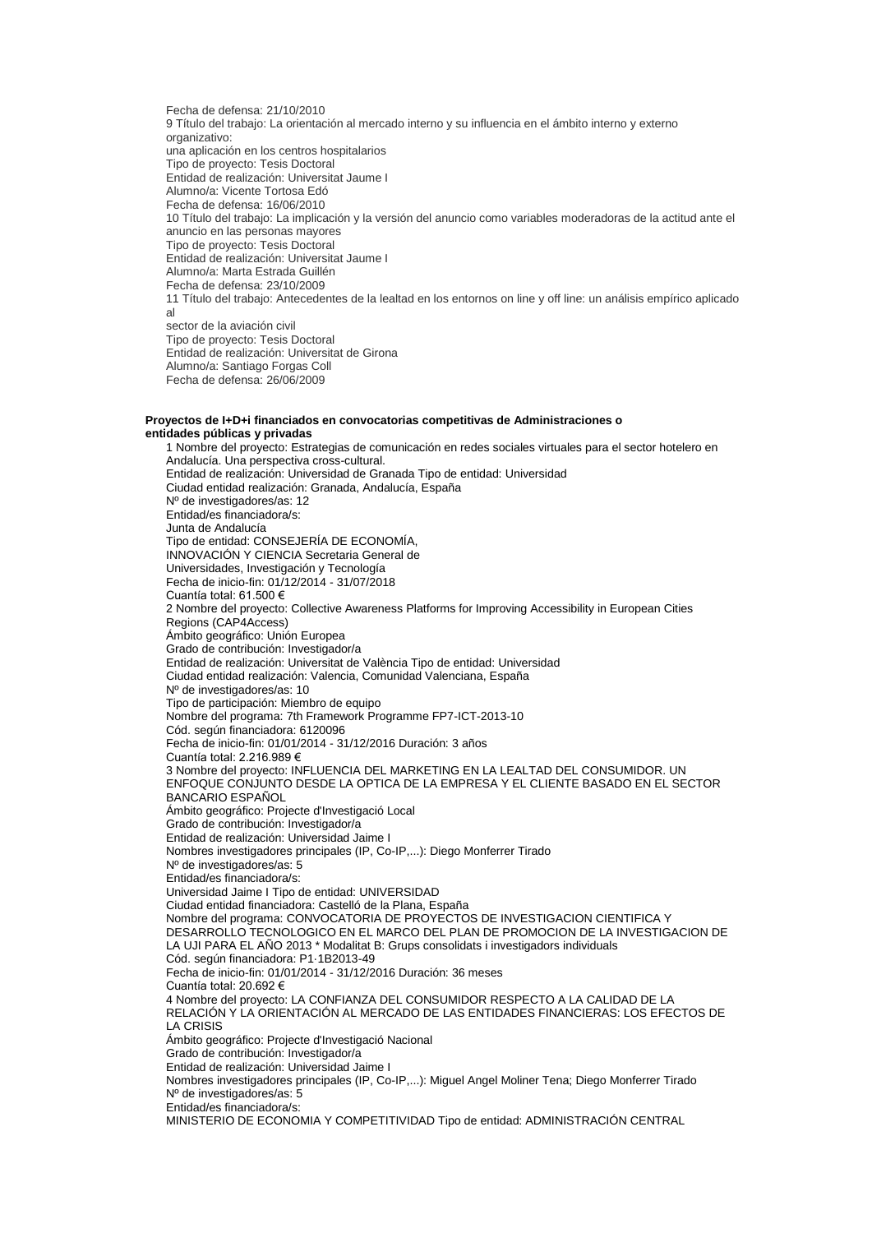Fecha de defensa: 21/10/2010 9 Título del trabajo: La orientación al mercado interno y su influencia en el ámbito interno y externo organizativo: una aplicación en los centros hospitalarios Tipo de proyecto: Tesis Doctoral Entidad de realización: Universitat Jaume I Alumno/a: Vicente Tortosa Edó Fecha de defensa: 16/06/2010 10 Título del trabajo: La implicación y la versión del anuncio como variables moderadoras de la actitud ante el anuncio en las personas mayores Tipo de proyecto: Tesis Doctoral Entidad de realización: Universitat Jaume I Alumno/a: Marta Estrada Guillén Fecha de defensa: 23/10/2009 11 Título del trabajo: Antecedentes de la lealtad en los entornos on line y off line: un análisis empírico aplicado al sector de la aviación civil Tipo de proyecto: Tesis Doctoral Entidad de realización: Universitat de Girona Alumno/a: Santiago Forgas Coll Fecha de defensa: 26/06/2009

#### **Proyectos de I+D+i financiados en convocatorias competitivas de Administraciones o entidades públicas y privadas**

1 Nombre del proyecto: Estrategias de comunicación en redes sociales virtuales para el sector hotelero en Andalucía. Una perspectiva cross-cultural. Entidad de realización: Universidad de Granada Tipo de entidad: Universidad Ciudad entidad realización: Granada, Andalucía, España Nº de investigadores/as: 12 Entidad/es financiadora/s: Junta de Andalucía Tipo de entidad: CONSEJERÍA DE ECONOMÍA, INNOVACIÓN Y CIENCIA Secretaria General de Universidades, Investigación y Tecnología Fecha de inicio-fin: 01/12/2014 - 31/07/2018 Cuantía total: 61.500 € 2 Nombre del proyecto: Collective Awareness Platforms for Improving Accessibility in European Cities Regions (CAP4Access) Ámbito geográfico: Unión Europea Grado de contribución: Investigador/a Entidad de realización: Universitat de València Tipo de entidad: Universidad Ciudad entidad realización: Valencia, Comunidad Valenciana, España Nº de investigadores/as: 10 Tipo de participación: Miembro de equipo Nombre del programa: 7th Framework Programme FP7-ICT-2013-10 Cód. según financiadora: 6120096 Fecha de inicio-fin: 01/01/2014 - 31/12/2016 Duración: 3 años Cuantía total: 2.216.989 € 3 Nombre del proyecto: INFLUENCIA DEL MARKETING EN LA LEALTAD DEL CONSUMIDOR. UN ENFOQUE CONJUNTO DESDE LA OPTICA DE LA EMPRESA Y EL CLIENTE BASADO EN EL SECTOR BANCARIO ESPAÑOL Ámbito geográfico: Projecte d'Investigació Local Grado de contribución: Investigador/a Entidad de realización: Universidad Jaime I Nombres investigadores principales (IP, Co-IP,...): Diego Monferrer Tirado Nº de investigadores/as: 5 Entidad/es financiadora/s: Universidad Jaime I Tipo de entidad: UNIVERSIDAD Ciudad entidad financiadora: Castelló de la Plana, España Nombre del programa: CONVOCATORIA DE PROYECTOS DE INVESTIGACION CIENTIFICA Y DESARROLLO TECNOLOGICO EN EL MARCO DEL PLAN DE PROMOCION DE LA INVESTIGACION DE LA UJI PARA EL AÑO 2013 \* Modalitat B: Grups consolidats i investigadors individuals Cód. según financiadora: P1·1B2013-49 Fecha de inicio-fin: 01/01/2014 - 31/12/2016 Duración: 36 meses Cuantía total: 20.692 € 4 Nombre del proyecto: LA CONFIANZA DEL CONSUMIDOR RESPECTO A LA CALIDAD DE LA RELACIÓN Y LA ORIENTACIÓN AL MERCADO DE LAS ENTIDADES FINANCIERAS: LOS EFECTOS DE LA CRISIS Ámbito geográfico: Projecte d'Investigació Nacional Grado de contribución: Investigador/a Entidad de realización: Universidad Jaime I Nombres investigadores principales (IP, Co-IP,...): Miguel Angel Moliner Tena; Diego Monferrer Tirado Nº de investigadores/as: 5 Entidad/es financiadora/s:

MINISTERIO DE ECONOMIA Y COMPETITIVIDAD Tipo de entidad: ADMINISTRACIÓN CENTRAL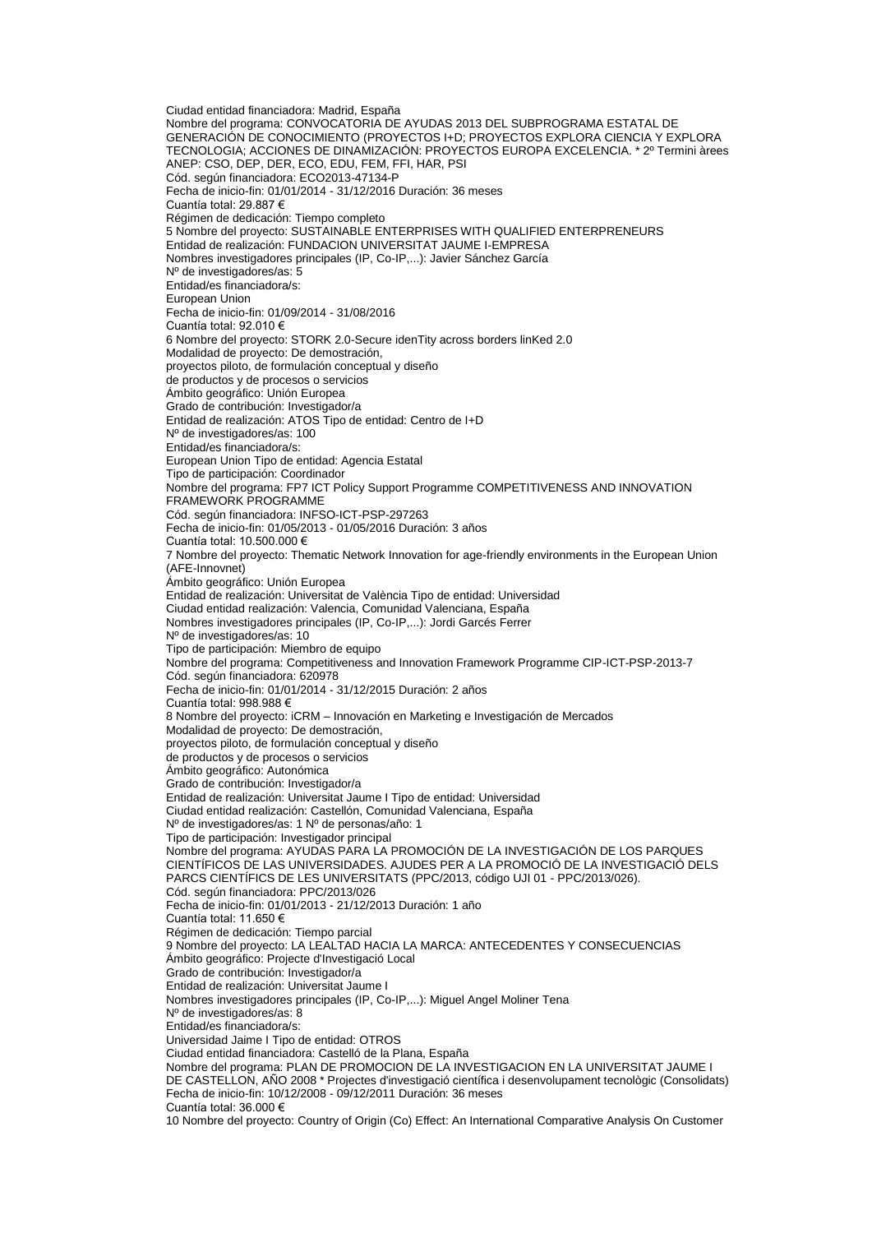Ciudad entidad financiadora: Madrid, España Nombre del programa: CONVOCATORIA DE AYUDAS 2013 DEL SUBPROGRAMA ESTATAL DE GENERACIÓN DE CONOCIMIENTO (PROYECTOS I+D; PROYECTOS EXPLORA CIENCIA Y EXPLORA TECNOLOGIA; ACCIONES DE DINAMIZACIÓN: PROYECTOS EUROPA EXCELENCIA. \* 2º Termini àrees ANEP: CSO, DEP, DER, ECO, EDU, FEM, FFI, HAR, PSI Cód. según financiadora: ECO2013-47134-P Fecha de inicio-fin: 01/01/2014 - 31/12/2016 Duración: 36 meses Cuantía total: 29.887 € Régimen de dedicación: Tiempo completo 5 Nombre del proyecto: SUSTAINABLE ENTERPRISES WITH QUALIFIED ENTERPRENEURS Entidad de realización: FUNDACION UNIVERSITAT JAUME I-EMPRESA Nombres investigadores principales (IP, Co-IP,...): Javier Sánchez García Nº de investigadores/as: 5 Entidad/es financiadora/s: European Union Fecha de inicio-fin: 01/09/2014 - 31/08/2016 Cuantía total: 92.010 € 6 Nombre del proyecto: STORK 2.0-Secure idenTity across borders linKed 2.0 Modalidad de proyecto: De demostración, proyectos piloto, de formulación conceptual y diseño de productos y de procesos o servicios Ámbito geográfico: Unión Europea Grado de contribución: Investigador/a Entidad de realización: ATOS Tipo de entidad: Centro de I+D Nº de investigadores/as: 100 Entidad/es financiadora/s: European Union Tipo de entidad: Agencia Estatal Tipo de participación: Coordinador Nombre del programa: FP7 ICT Policy Support Programme COMPETITIVENESS AND INNOVATION FRAMEWORK PROGRAMME Cód. según financiadora: INFSO-ICT-PSP-297263 Fecha de inicio-fin: 01/05/2013 - 01/05/2016 Duración: 3 años Cuantía total: 10.500.000 € 7 Nombre del proyecto: Thematic Network Innovation for age-friendly environments in the European Union (AFE-Innovnet) Ámbito geográfico: Unión Europea Entidad de realización: Universitat de València Tipo de entidad: Universidad Ciudad entidad realización: Valencia, Comunidad Valenciana, España Nombres investigadores principales (IP, Co-IP,...): Jordi Garcés Ferrer Nº de investigadores/as: 10 Tipo de participación: Miembro de equipo Nombre del programa: Competitiveness and Innovation Framework Programme CIP-ICT-PSP-2013-7 Cód. según financiadora: 620978 Fecha de inicio-fin: 01/01/2014 - 31/12/2015 Duración: 2 años Cuantía total: 998.988 € 8 Nombre del proyecto: iCRM – Innovación en Marketing e Investigación de Mercados Modalidad de proyecto: De demostración, proyectos piloto, de formulación conceptual y diseño de productos y de procesos o servicios Ámbito geográfico: Autonómica Grado de contribución: Investigador/a Entidad de realización: Universitat Jaume I Tipo de entidad: Universidad Ciudad entidad realización: Castellón, Comunidad Valenciana, España Nº de investigadores/as: 1 Nº de personas/año: 1 Tipo de participación: Investigador principal Nombre del programa: AYUDAS PARA LA PROMOCIÓN DE LA INVESTIGACIÓN DE LOS PARQUES CIENTÍFICOS DE LAS UNIVERSIDADES. AJUDES PER A LA PROMOCIÓ DE LA INVESTIGACIÓ DELS PARCS CIENTÍFICS DE LES UNIVERSITATS (PPC/2013, código UJI 01 - PPC/2013/026). Cód. según financiadora: PPC/2013/026 Fecha de inicio-fin: 01/01/2013 - 21/12/2013 Duración: 1 año Cuantía total: 11.650 € Régimen de dedicación: Tiempo parcial 9 Nombre del proyecto: LA LEALTAD HACIA LA MARCA: ANTECEDENTES Y CONSECUENCIAS Ámbito geográfico: Projecte d'Investigació Local Grado de contribución: Investigador/a Entidad de realización: Universitat Jaume I Nombres investigadores principales (IP, Co-IP,...): Miguel Angel Moliner Tena Nº de investigadores/as: 8 Entidad/es financiadora/s: Universidad Jaime I Tipo de entidad: OTROS Ciudad entidad financiadora: Castelló de la Plana, España Nombre del programa: PLAN DE PROMOCION DE LA INVESTIGACION EN LA UNIVERSITAT JAUME I DE CASTELLON, AÑO 2008 \* Projectes d'investigació científica i desenvolupament tecnològic (Consolidats) Fecha de inicio-fin: 10/12/2008 - 09/12/2011 Duración: 36 meses Cuantía total: 36.000 € 10 Nombre del proyecto: Country of Origin (Co) Effect: An International Comparative Analysis On Customer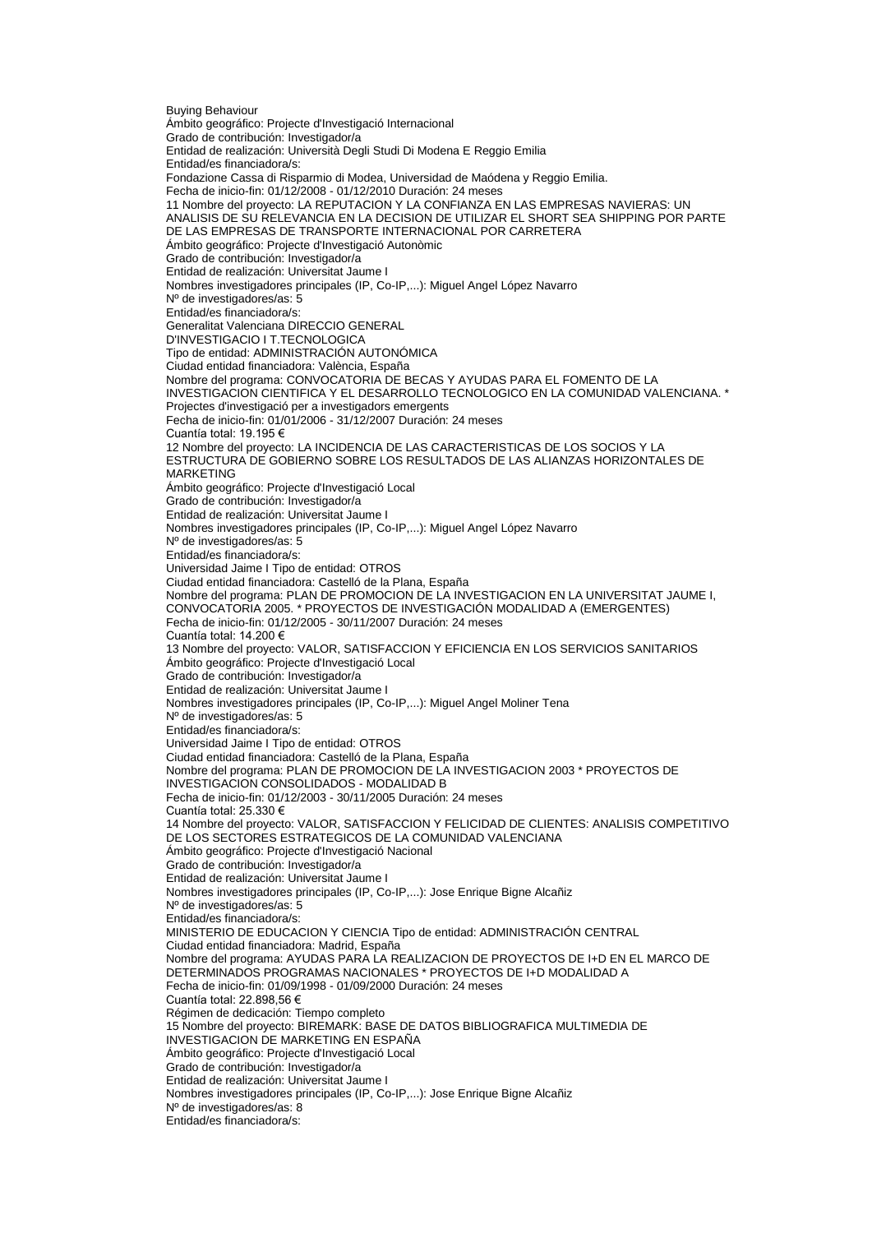Buying Behaviour Ámbito geográfico: Projecte d'Investigació Internacional Grado de contribución: Investigador/a Entidad de realización: Università Degli Studi Di Modena E Reggio Emilia Entidad/es financiadora/s: Fondazione Cassa di Risparmio di Modea, Universidad de Maódena y Reggio Emilia. Fecha de inicio-fin: 01/12/2008 - 01/12/2010 Duración: 24 meses 11 Nombre del proyecto: LA REPUTACION Y LA CONFIANZA EN LAS EMPRESAS NAVIERAS: UN ANALISIS DE SU RELEVANCIA EN LA DECISION DE UTILIZAR EL SHORT SEA SHIPPING POR PARTE DE LAS EMPRESAS DE TRANSPORTE INTERNACIONAL POR CARRETERA Ámbito geográfico: Projecte d'Investigació Autonòmic Grado de contribución: Investigador/a Entidad de realización: Universitat Jaume I Nombres investigadores principales (IP, Co-IP,...): Miguel Angel López Navarro Nº de investigadores/as: 5 Entidad/es financiadora/s: Generalitat Valenciana DIRECCIO GENERAL D'INVESTIGACIO I T.TECNOLOGICA Tipo de entidad: ADMINISTRACIÓN AUTONÓMICA Ciudad entidad financiadora: València, España Nombre del programa: CONVOCATORIA DE BECAS Y AYUDAS PARA EL FOMENTO DE LA INVESTIGACION CIENTIFICA Y EL DESARROLLO TECNOLOGICO EN LA COMUNIDAD VALENCIANA. \* Projectes d'investigació per a investigadors emergents Fecha de inicio-fin: 01/01/2006 - 31/12/2007 Duración: 24 meses Cuantía total: 19.195 € 12 Nombre del proyecto: LA INCIDENCIA DE LAS CARACTERISTICAS DE LOS SOCIOS Y LA ESTRUCTURA DE GOBIERNO SOBRE LOS RESULTADOS DE LAS ALIANZAS HORIZONTALES DE MARKETING Ámbito geográfico: Projecte d'Investigació Local Grado de contribución: Investigador/a Entidad de realización: Universitat Jaume I Nombres investigadores principales (IP, Co-IP,...): Miguel Angel López Navarro Nº de investigadores/as: 5 Entidad/es financiadora/s: Universidad Jaime I Tipo de entidad: OTROS Ciudad entidad financiadora: Castelló de la Plana, España Nombre del programa: PLAN DE PROMOCION DE LA INVESTIGACION EN LA UNIVERSITAT JAUME I, CONVOCATORIA 2005. \* PROYECTOS DE INVESTIGACIÓN MODALIDAD A (EMERGENTES) Fecha de inicio-fin: 01/12/2005 - 30/11/2007 Duración: 24 meses Cuantía total: 14.200 € 13 Nombre del proyecto: VALOR, SATISFACCION Y EFICIENCIA EN LOS SERVICIOS SANITARIOS Ámbito geográfico: Projecte d'Investigació Local Grado de contribución: Investigador/a Entidad de realización: Universitat Jaume I Nombres investigadores principales (IP, Co-IP,...): Miguel Angel Moliner Tena Nº de investigadores/as: 5 Entidad/es financiadora/s: Universidad Jaime I Tipo de entidad: OTROS Ciudad entidad financiadora: Castelló de la Plana, España Nombre del programa: PLAN DE PROMOCION DE LA INVESTIGACION 2003 \* PROYECTOS DE INVESTIGACION CONSOLIDADOS - MODALIDAD B Fecha de inicio-fin: 01/12/2003 - 30/11/2005 Duración: 24 meses Cuantía total: 25.330 € 14 Nombre del proyecto: VALOR, SATISFACCION Y FELICIDAD DE CLIENTES: ANALISIS COMPETITIVO DE LOS SECTORES ESTRATEGICOS DE LA COMUNIDAD VALENCIANA Ámbito geográfico: Projecte d'Investigació Nacional Grado de contribución: Investigador/a Entidad de realización: Universitat Jaume I Nombres investigadores principales (IP, Co-IP,...): Jose Enrique Bigne Alcañiz Nº de investigadores/as: 5 Entidad/es financiadora/s: MINISTERIO DE EDUCACION Y CIENCIA Tipo de entidad: ADMINISTRACIÓN CENTRAL Ciudad entidad financiadora: Madrid, España Nombre del programa: AYUDAS PARA LA REALIZACION DE PROYECTOS DE I+D EN EL MARCO DE DETERMINADOS PROGRAMAS NACIONALES \* PROYECTOS DE I+D MODALIDAD A Fecha de inicio-fin: 01/09/1998 - 01/09/2000 Duración: 24 meses Cuantía total: 22.898,56 € Régimen de dedicación: Tiempo completo 15 Nombre del proyecto: BIREMARK: BASE DE DATOS BIBLIOGRAFICA MULTIMEDIA DE INVESTIGACION DE MARKETING EN ESPAÑA Ámbito geográfico: Projecte d'Investigació Local Grado de contribución: Investigador/a Entidad de realización: Universitat Jaume I Nombres investigadores principales (IP, Co-IP,...): Jose Enrique Bigne Alcañiz Nº de investigadores/as: 8 Entidad/es financiadora/s: